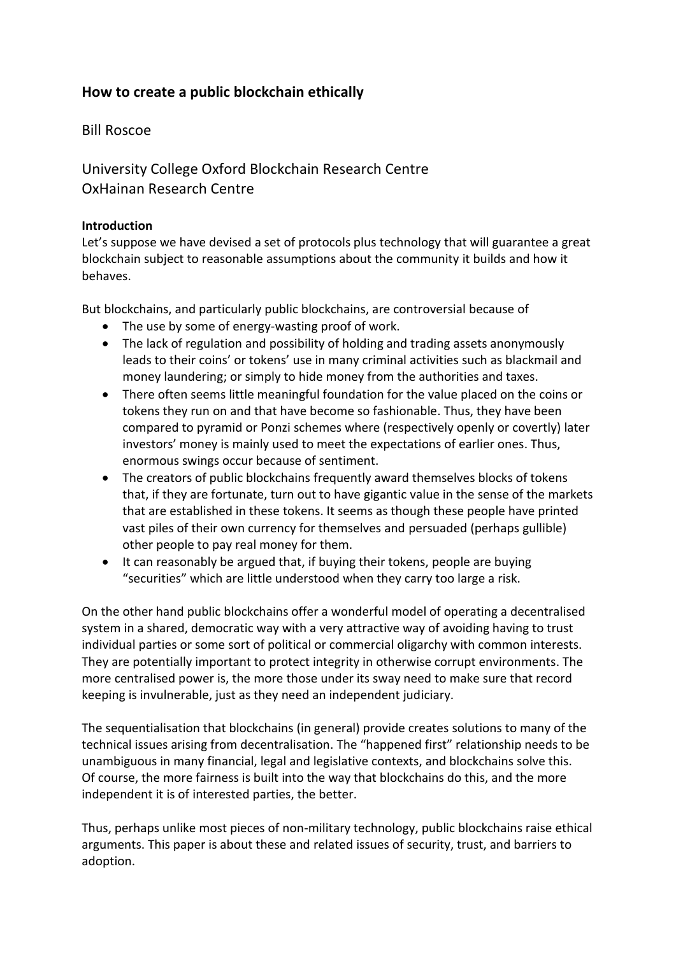# **How to create a public blockchain ethically**

# Bill Roscoe

University College Oxford Blockchain Research Centre OxHainan Research Centre

## **Introduction**

Let's suppose we have devised a set of protocols plus technology that will guarantee a great blockchain subject to reasonable assumptions about the community it builds and how it behaves.

But blockchains, and particularly public blockchains, are controversial because of

- The use by some of energy-wasting proof of work.
- The lack of regulation and possibility of holding and trading assets anonymously leads to their coins' or tokens' use in many criminal activities such as blackmail and money laundering; or simply to hide money from the authorities and taxes.
- There often seems little meaningful foundation for the value placed on the coins or tokens they run on and that have become so fashionable. Thus, they have been compared to pyramid or Ponzi schemes where (respectively openly or covertly) later investors' money is mainly used to meet the expectations of earlier ones. Thus, enormous swings occur because of sentiment.
- The creators of public blockchains frequently award themselves blocks of tokens that, if they are fortunate, turn out to have gigantic value in the sense of the markets that are established in these tokens. It seems as though these people have printed vast piles of their own currency for themselves and persuaded (perhaps gullible) other people to pay real money for them.
- It can reasonably be argued that, if buying their tokens, people are buying "securities" which are little understood when they carry too large a risk.

On the other hand public blockchains offer a wonderful model of operating a decentralised system in a shared, democratic way with a very attractive way of avoiding having to trust individual parties or some sort of political or commercial oligarchy with common interests. They are potentially important to protect integrity in otherwise corrupt environments. The more centralised power is, the more those under its sway need to make sure that record keeping is invulnerable, just as they need an independent judiciary.

The sequentialisation that blockchains (in general) provide creates solutions to many of the technical issues arising from decentralisation. The "happened first" relationship needs to be unambiguous in many financial, legal and legislative contexts, and blockchains solve this. Of course, the more fairness is built into the way that blockchains do this, and the more independent it is of interested parties, the better.

Thus, perhaps unlike most pieces of non-military technology, public blockchains raise ethical arguments. This paper is about these and related issues of security, trust, and barriers to adoption.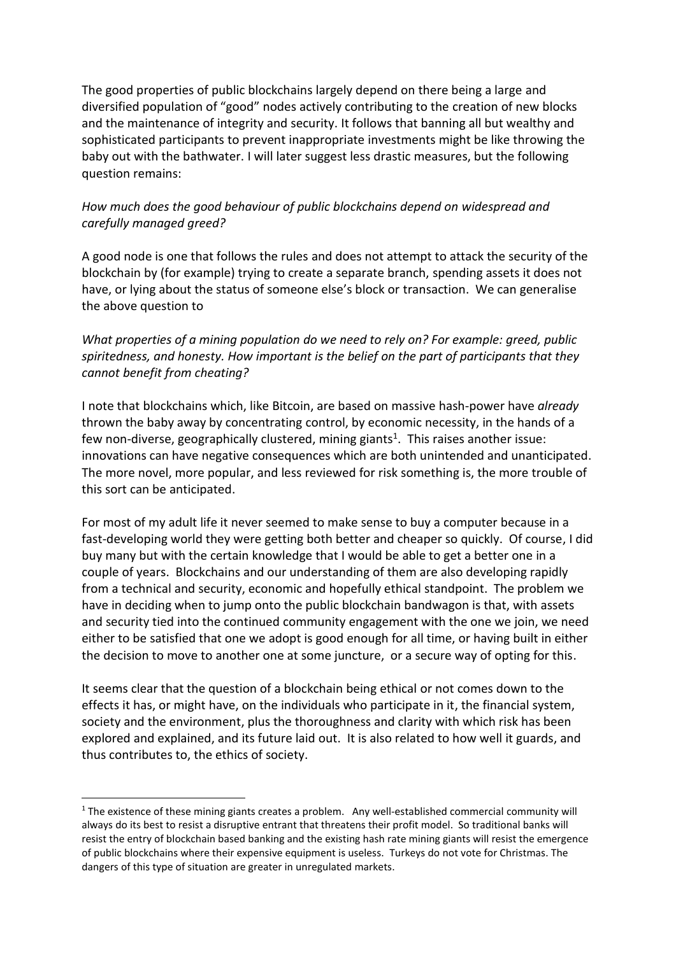The good properties of public blockchains largely depend on there being a large and diversified population of "good" nodes actively contributing to the creation of new blocks and the maintenance of integrity and security. It follows that banning all but wealthy and sophisticated participants to prevent inappropriate investments might be like throwing the baby out with the bathwater. I will later suggest less drastic measures, but the following question remains:

# *How much does the good behaviour of public blockchains depend on widespread and carefully managed greed?*

A good node is one that follows the rules and does not attempt to attack the security of the blockchain by (for example) trying to create a separate branch, spending assets it does not have, or lying about the status of someone else's block or transaction. We can generalise the above question to

*What properties of a mining population do we need to rely on? For example: greed, public spiritedness, and honesty. How important is the belief on the part of participants that they cannot benefit from cheating?*

I note that blockchains which, like Bitcoin, are based on massive hash-power have *already*  thrown the baby away by concentrating control, by economic necessity, in the hands of a few non-diverse, geographically clustered, mining giants<sup>1</sup>. This raises another issue: innovations can have negative consequences which are both unintended and unanticipated. The more novel, more popular, and less reviewed for risk something is, the more trouble of this sort can be anticipated.

For most of my adult life it never seemed to make sense to buy a computer because in a fast-developing world they were getting both better and cheaper so quickly. Of course, I did buy many but with the certain knowledge that I would be able to get a better one in a couple of years. Blockchains and our understanding of them are also developing rapidly from a technical and security, economic and hopefully ethical standpoint. The problem we have in deciding when to jump onto the public blockchain bandwagon is that, with assets and security tied into the continued community engagement with the one we join, we need either to be satisfied that one we adopt is good enough for all time, or having built in either the decision to move to another one at some juncture, or a secure way of opting for this.

It seems clear that the question of a blockchain being ethical or not comes down to the effects it has, or might have, on the individuals who participate in it, the financial system, society and the environment, plus the thoroughness and clarity with which risk has been explored and explained, and its future laid out. It is also related to how well it guards, and thus contributes to, the ethics of society.

 $1$  The existence of these mining giants creates a problem. Any well-established commercial community will always do its best to resist a disruptive entrant that threatens their profit model. So traditional banks will resist the entry of blockchain based banking and the existing hash rate mining giants will resist the emergence of public blockchains where their expensive equipment is useless. Turkeys do not vote for Christmas. The dangers of this type of situation are greater in unregulated markets.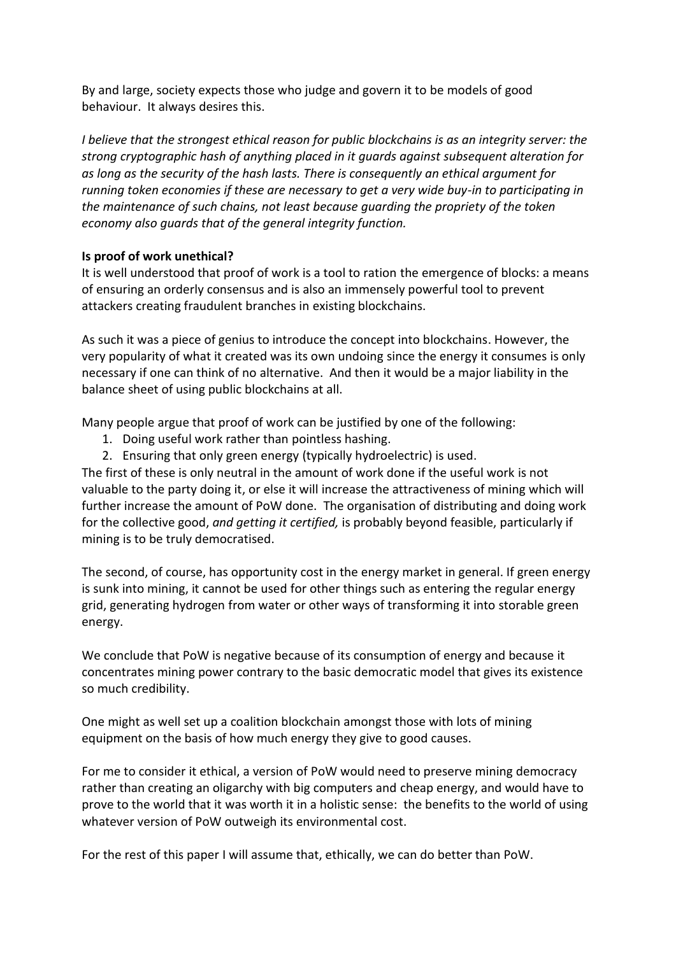By and large, society expects those who judge and govern it to be models of good behaviour. It always desires this.

*I believe that the strongest ethical reason for public blockchains is as an integrity server: the strong cryptographic hash of anything placed in it guards against subsequent alteration for as long as the security of the hash lasts. There is consequently an ethical argument for running token economies if these are necessary to get a very wide buy-in to participating in the maintenance of such chains, not least because guarding the propriety of the token economy also guards that of the general integrity function.*

## **Is proof of work unethical?**

It is well understood that proof of work is a tool to ration the emergence of blocks: a means of ensuring an orderly consensus and is also an immensely powerful tool to prevent attackers creating fraudulent branches in existing blockchains.

As such it was a piece of genius to introduce the concept into blockchains. However, the very popularity of what it created was its own undoing since the energy it consumes is only necessary if one can think of no alternative. And then it would be a major liability in the balance sheet of using public blockchains at all.

Many people argue that proof of work can be justified by one of the following:

- 1. Doing useful work rather than pointless hashing.
- 2. Ensuring that only green energy (typically hydroelectric) is used.

The first of these is only neutral in the amount of work done if the useful work is not valuable to the party doing it, or else it will increase the attractiveness of mining which will further increase the amount of PoW done. The organisation of distributing and doing work for the collective good, *and getting it certified,* is probably beyond feasible, particularly if mining is to be truly democratised.

The second, of course, has opportunity cost in the energy market in general. If green energy is sunk into mining, it cannot be used for other things such as entering the regular energy grid, generating hydrogen from water or other ways of transforming it into storable green energy.

We conclude that PoW is negative because of its consumption of energy and because it concentrates mining power contrary to the basic democratic model that gives its existence so much credibility.

One might as well set up a coalition blockchain amongst those with lots of mining equipment on the basis of how much energy they give to good causes.

For me to consider it ethical, a version of PoW would need to preserve mining democracy rather than creating an oligarchy with big computers and cheap energy, and would have to prove to the world that it was worth it in a holistic sense: the benefits to the world of using whatever version of PoW outweigh its environmental cost.

For the rest of this paper I will assume that, ethically, we can do better than PoW.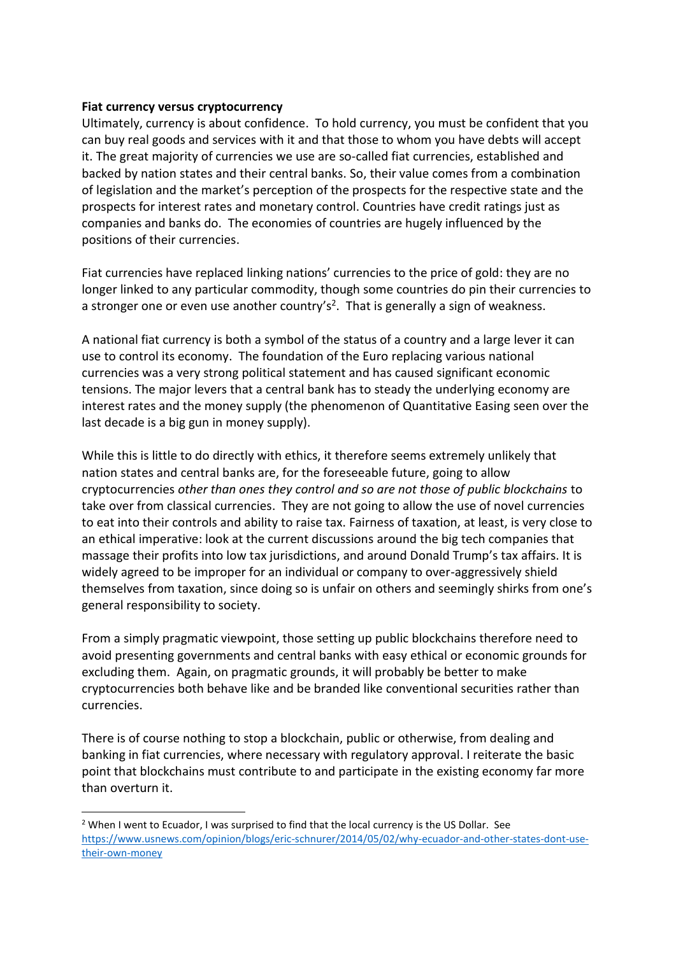#### **Fiat currency versus cryptocurrency**

Ultimately, currency is about confidence. To hold currency, you must be confident that you can buy real goods and services with it and that those to whom you have debts will accept it. The great majority of currencies we use are so-called fiat currencies, established and backed by nation states and their central banks. So, their value comes from a combination of legislation and the market's perception of the prospects for the respective state and the prospects for interest rates and monetary control. Countries have credit ratings just as companies and banks do. The economies of countries are hugely influenced by the positions of their currencies.

Fiat currencies have replaced linking nations' currencies to the price of gold: they are no longer linked to any particular commodity, though some countries do pin their currencies to a stronger one or even use another country's<sup>2</sup>. That is generally a sign of weakness.

A national fiat currency is both a symbol of the status of a country and a large lever it can use to control its economy. The foundation of the Euro replacing various national currencies was a very strong political statement and has caused significant economic tensions. The major levers that a central bank has to steady the underlying economy are interest rates and the money supply (the phenomenon of Quantitative Easing seen over the last decade is a big gun in money supply).

While this is little to do directly with ethics, it therefore seems extremely unlikely that nation states and central banks are, for the foreseeable future, going to allow cryptocurrencies *other than ones they control and so are not those of public blockchains* to take over from classical currencies. They are not going to allow the use of novel currencies to eat into their controls and ability to raise tax. Fairness of taxation, at least, is very close to an ethical imperative: look at the current discussions around the big tech companies that massage their profits into low tax jurisdictions, and around Donald Trump's tax affairs. It is widely agreed to be improper for an individual or company to over-aggressively shield themselves from taxation, since doing so is unfair on others and seemingly shirks from one's general responsibility to society.

From a simply pragmatic viewpoint, those setting up public blockchains therefore need to avoid presenting governments and central banks with easy ethical or economic grounds for excluding them. Again, on pragmatic grounds, it will probably be better to make cryptocurrencies both behave like and be branded like conventional securities rather than currencies.

There is of course nothing to stop a blockchain, public or otherwise, from dealing and banking in fiat currencies, where necessary with regulatory approval. I reiterate the basic point that blockchains must contribute to and participate in the existing economy far more than overturn it.

 $2$  When I went to Ecuador, I was surprised to find that the local currency is the US Dollar. See [https://www.usnews.com/opinion/blogs/eric-schnurer/2014/05/02/why-ecuador-and-other-states-dont-use](https://www.usnews.com/opinion/blogs/eric-schnurer/2014/05/02/why-ecuador-and-other-states-dont-use-their-own-money)[their-own-money](https://www.usnews.com/opinion/blogs/eric-schnurer/2014/05/02/why-ecuador-and-other-states-dont-use-their-own-money)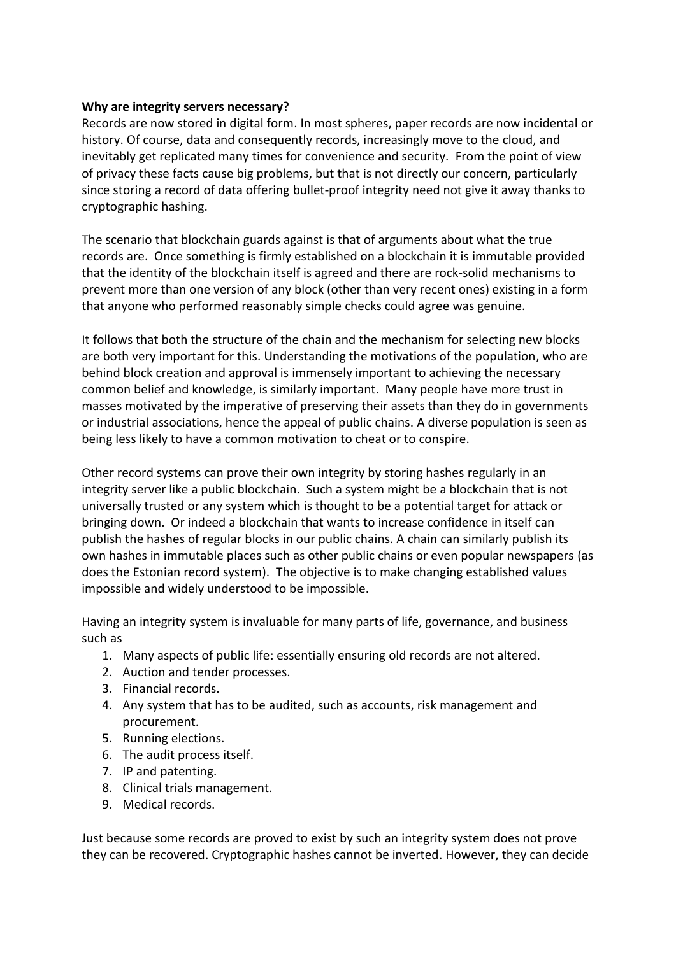#### **Why are integrity servers necessary?**

Records are now stored in digital form. In most spheres, paper records are now incidental or history. Of course, data and consequently records, increasingly move to the cloud, and inevitably get replicated many times for convenience and security. From the point of view of privacy these facts cause big problems, but that is not directly our concern, particularly since storing a record of data offering bullet-proof integrity need not give it away thanks to cryptographic hashing.

The scenario that blockchain guards against is that of arguments about what the true records are. Once something is firmly established on a blockchain it is immutable provided that the identity of the blockchain itself is agreed and there are rock-solid mechanisms to prevent more than one version of any block (other than very recent ones) existing in a form that anyone who performed reasonably simple checks could agree was genuine.

It follows that both the structure of the chain and the mechanism for selecting new blocks are both very important for this. Understanding the motivations of the population, who are behind block creation and approval is immensely important to achieving the necessary common belief and knowledge, is similarly important. Many people have more trust in masses motivated by the imperative of preserving their assets than they do in governments or industrial associations, hence the appeal of public chains. A diverse population is seen as being less likely to have a common motivation to cheat or to conspire.

Other record systems can prove their own integrity by storing hashes regularly in an integrity server like a public blockchain. Such a system might be a blockchain that is not universally trusted or any system which is thought to be a potential target for attack or bringing down. Or indeed a blockchain that wants to increase confidence in itself can publish the hashes of regular blocks in our public chains. A chain can similarly publish its own hashes in immutable places such as other public chains or even popular newspapers (as does the Estonian record system). The objective is to make changing established values impossible and widely understood to be impossible.

Having an integrity system is invaluable for many parts of life, governance, and business such as

- 1. Many aspects of public life: essentially ensuring old records are not altered.
- 2. Auction and tender processes.
- 3. Financial records.
- 4. Any system that has to be audited, such as accounts, risk management and procurement.
- 5. Running elections.
- 6. The audit process itself.
- 7. IP and patenting.
- 8. Clinical trials management.
- 9. Medical records.

Just because some records are proved to exist by such an integrity system does not prove they can be recovered. Cryptographic hashes cannot be inverted. However, they can decide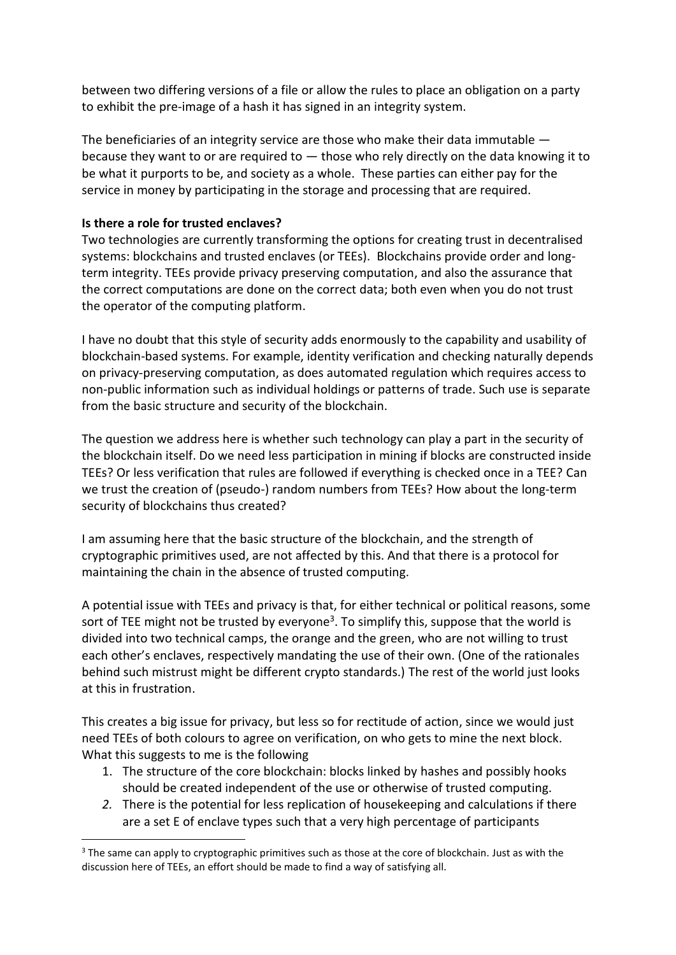between two differing versions of a file or allow the rules to place an obligation on a party to exhibit the pre-image of a hash it has signed in an integrity system.

The beneficiaries of an integrity service are those who make their data immutable because they want to or are required to  $-$  those who rely directly on the data knowing it to be what it purports to be, and society as a whole. These parties can either pay for the service in money by participating in the storage and processing that are required.

#### **Is there a role for trusted enclaves?**

Two technologies are currently transforming the options for creating trust in decentralised systems: blockchains and trusted enclaves (or TEEs). Blockchains provide order and longterm integrity. TEEs provide privacy preserving computation, and also the assurance that the correct computations are done on the correct data; both even when you do not trust the operator of the computing platform.

I have no doubt that this style of security adds enormously to the capability and usability of blockchain-based systems. For example, identity verification and checking naturally depends on privacy-preserving computation, as does automated regulation which requires access to non-public information such as individual holdings or patterns of trade. Such use is separate from the basic structure and security of the blockchain.

The question we address here is whether such technology can play a part in the security of the blockchain itself. Do we need less participation in mining if blocks are constructed inside TEEs? Or less verification that rules are followed if everything is checked once in a TEE? Can we trust the creation of (pseudo-) random numbers from TEEs? How about the long-term security of blockchains thus created?

I am assuming here that the basic structure of the blockchain, and the strength of cryptographic primitives used, are not affected by this. And that there is a protocol for maintaining the chain in the absence of trusted computing.

A potential issue with TEEs and privacy is that, for either technical or political reasons, some sort of TEE might not be trusted by everyone<sup>3</sup>. To simplify this, suppose that the world is divided into two technical camps, the orange and the green, who are not willing to trust each other's enclaves, respectively mandating the use of their own. (One of the rationales behind such mistrust might be different crypto standards.) The rest of the world just looks at this in frustration.

This creates a big issue for privacy, but less so for rectitude of action, since we would just need TEEs of both colours to agree on verification, on who gets to mine the next block. What this suggests to me is the following

- 1. The structure of the core blockchain: blocks linked by hashes and possibly hooks should be created independent of the use or otherwise of trusted computing.
- *2.* There is the potential for less replication of housekeeping and calculations if there are a set E of enclave types such that a very high percentage of participants

 $3$  The same can apply to cryptographic primitives such as those at the core of blockchain. Just as with the discussion here of TEEs, an effort should be made to find a way of satisfying all.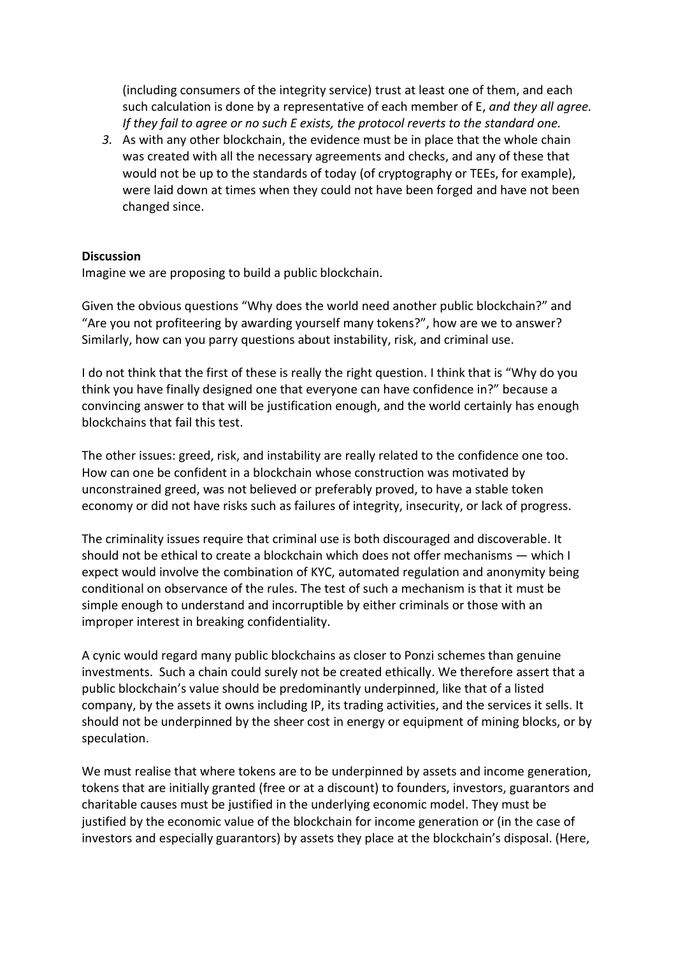(including consumers of the integrity service) trust at least one of them, and each such calculation is done by a representative of each member of E, *and they all agree. If they fail to agree or no such E exists, the protocol reverts to the standard one.*

*3.* As with any other blockchain, the evidence must be in place that the whole chain was created with all the necessary agreements and checks, and any of these that would not be up to the standards of today (of cryptography or TEEs, for example), were laid down at times when they could not have been forged and have not been changed since.

#### **Discussion**

Imagine we are proposing to build a public blockchain.

Given the obvious questions "Why does the world need another public blockchain?" and "Are you not profiteering by awarding yourself many tokens?", how are we to answer? Similarly, how can you parry questions about instability, risk, and criminal use.

I do not think that the first of these is really the right question. I think that is "Why do you think you have finally designed one that everyone can have confidence in?" because a convincing answer to that will be justification enough, and the world certainly has enough blockchains that fail this test.

The other issues: greed, risk, and instability are really related to the confidence one too. How can one be confident in a blockchain whose construction was motivated by unconstrained greed, was not believed or preferably proved, to have a stable token economy or did not have risks such as failures of integrity, insecurity, or lack of progress.

The criminality issues require that criminal use is both discouraged and discoverable. It should not be ethical to create a blockchain which does not offer mechanisms — which I expect would involve the combination of KYC, automated regulation and anonymity being conditional on observance of the rules. The test of such a mechanism is that it must be simple enough to understand and incorruptible by either criminals or those with an improper interest in breaking confidentiality.

A cynic would regard many public blockchains as closer to Ponzi schemes than genuine investments. Such a chain could surely not be created ethically. We therefore assert that a public blockchain's value should be predominantly underpinned, like that of a listed company, by the assets it owns including IP, its trading activities, and the services it sells. It should not be underpinned by the sheer cost in energy or equipment of mining blocks, or by speculation.

We must realise that where tokens are to be underpinned by assets and income generation, tokens that are initially granted (free or at a discount) to founders, investors, guarantors and charitable causes must be justified in the underlying economic model. They must be justified by the economic value of the blockchain for income generation or (in the case of investors and especially guarantors) by assets they place at the blockchain's disposal. (Here,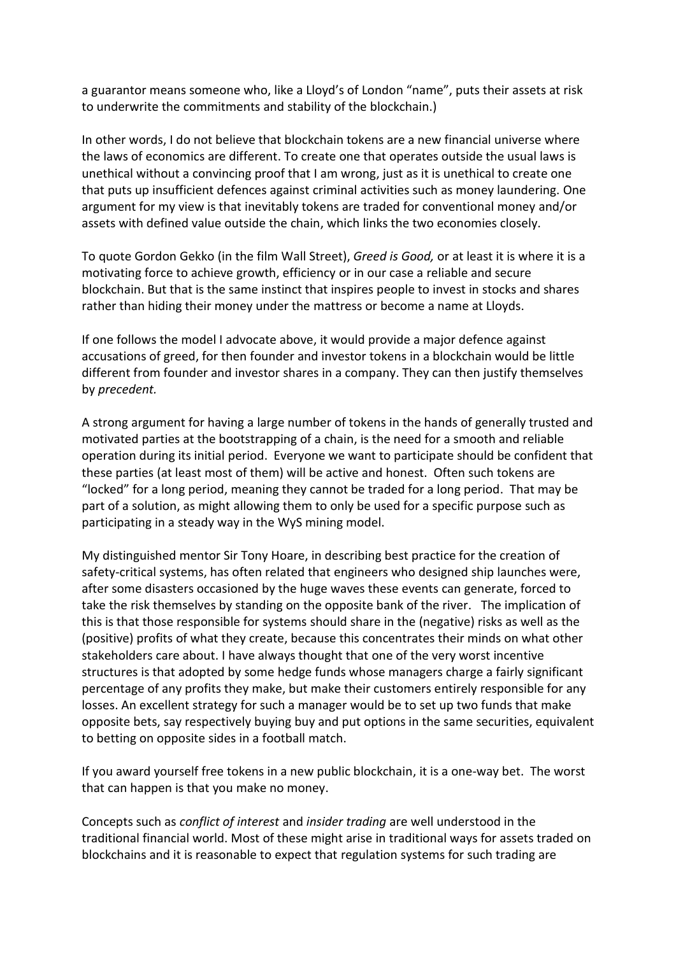a guarantor means someone who, like a Lloyd's of London "name", puts their assets at risk to underwrite the commitments and stability of the blockchain.)

In other words, I do not believe that blockchain tokens are a new financial universe where the laws of economics are different. To create one that operates outside the usual laws is unethical without a convincing proof that I am wrong, just as it is unethical to create one that puts up insufficient defences against criminal activities such as money laundering. One argument for my view is that inevitably tokens are traded for conventional money and/or assets with defined value outside the chain, which links the two economies closely.

To quote Gordon Gekko (in the film Wall Street), *Greed is Good,* or at least it is where it is a motivating force to achieve growth, efficiency or in our case a reliable and secure blockchain. But that is the same instinct that inspires people to invest in stocks and shares rather than hiding their money under the mattress or become a name at Lloyds.

If one follows the model I advocate above, it would provide a major defence against accusations of greed, for then founder and investor tokens in a blockchain would be little different from founder and investor shares in a company. They can then justify themselves by *precedent.*

A strong argument for having a large number of tokens in the hands of generally trusted and motivated parties at the bootstrapping of a chain, is the need for a smooth and reliable operation during its initial period. Everyone we want to participate should be confident that these parties (at least most of them) will be active and honest. Often such tokens are "locked" for a long period, meaning they cannot be traded for a long period. That may be part of a solution, as might allowing them to only be used for a specific purpose such as participating in a steady way in the WyS mining model.

My distinguished mentor Sir Tony Hoare, in describing best practice for the creation of safety-critical systems, has often related that engineers who designed ship launches were, after some disasters occasioned by the huge waves these events can generate, forced to take the risk themselves by standing on the opposite bank of the river. The implication of this is that those responsible for systems should share in the (negative) risks as well as the (positive) profits of what they create, because this concentrates their minds on what other stakeholders care about. I have always thought that one of the very worst incentive structures is that adopted by some hedge funds whose managers charge a fairly significant percentage of any profits they make, but make their customers entirely responsible for any losses. An excellent strategy for such a manager would be to set up two funds that make opposite bets, say respectively buying buy and put options in the same securities, equivalent to betting on opposite sides in a football match.

If you award yourself free tokens in a new public blockchain, it is a one-way bet. The worst that can happen is that you make no money.

Concepts such as *conflict of interest* and *insider trading* are well understood in the traditional financial world. Most of these might arise in traditional ways for assets traded on blockchains and it is reasonable to expect that regulation systems for such trading are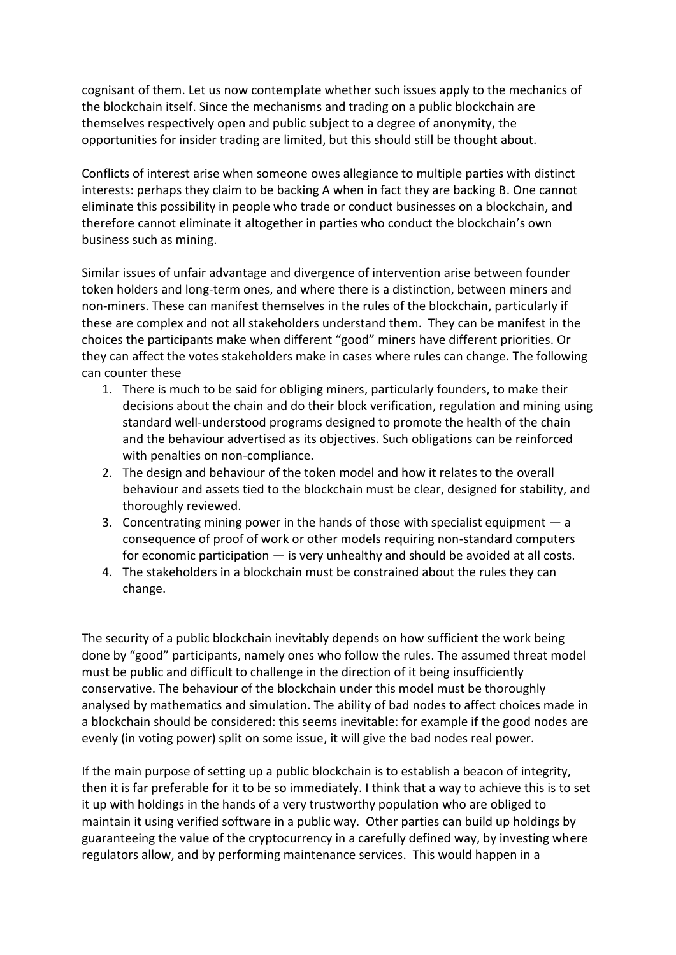cognisant of them. Let us now contemplate whether such issues apply to the mechanics of the blockchain itself. Since the mechanisms and trading on a public blockchain are themselves respectively open and public subject to a degree of anonymity, the opportunities for insider trading are limited, but this should still be thought about.

Conflicts of interest arise when someone owes allegiance to multiple parties with distinct interests: perhaps they claim to be backing A when in fact they are backing B. One cannot eliminate this possibility in people who trade or conduct businesses on a blockchain, and therefore cannot eliminate it altogether in parties who conduct the blockchain's own business such as mining.

Similar issues of unfair advantage and divergence of intervention arise between founder token holders and long-term ones, and where there is a distinction, between miners and non-miners. These can manifest themselves in the rules of the blockchain, particularly if these are complex and not all stakeholders understand them. They can be manifest in the choices the participants make when different "good" miners have different priorities. Or they can affect the votes stakeholders make in cases where rules can change. The following can counter these

- 1. There is much to be said for obliging miners, particularly founders, to make their decisions about the chain and do their block verification, regulation and mining using standard well-understood programs designed to promote the health of the chain and the behaviour advertised as its objectives. Such obligations can be reinforced with penalties on non-compliance.
- 2. The design and behaviour of the token model and how it relates to the overall behaviour and assets tied to the blockchain must be clear, designed for stability, and thoroughly reviewed.
- 3. Concentrating mining power in the hands of those with specialist equipment a consequence of proof of work or other models requiring non-standard computers for economic participation — is very unhealthy and should be avoided at all costs.
- 4. The stakeholders in a blockchain must be constrained about the rules they can change.

The security of a public blockchain inevitably depends on how sufficient the work being done by "good" participants, namely ones who follow the rules. The assumed threat model must be public and difficult to challenge in the direction of it being insufficiently conservative. The behaviour of the blockchain under this model must be thoroughly analysed by mathematics and simulation. The ability of bad nodes to affect choices made in a blockchain should be considered: this seems inevitable: for example if the good nodes are evenly (in voting power) split on some issue, it will give the bad nodes real power.

If the main purpose of setting up a public blockchain is to establish a beacon of integrity, then it is far preferable for it to be so immediately. I think that a way to achieve this is to set it up with holdings in the hands of a very trustworthy population who are obliged to maintain it using verified software in a public way. Other parties can build up holdings by guaranteeing the value of the cryptocurrency in a carefully defined way, by investing where regulators allow, and by performing maintenance services. This would happen in a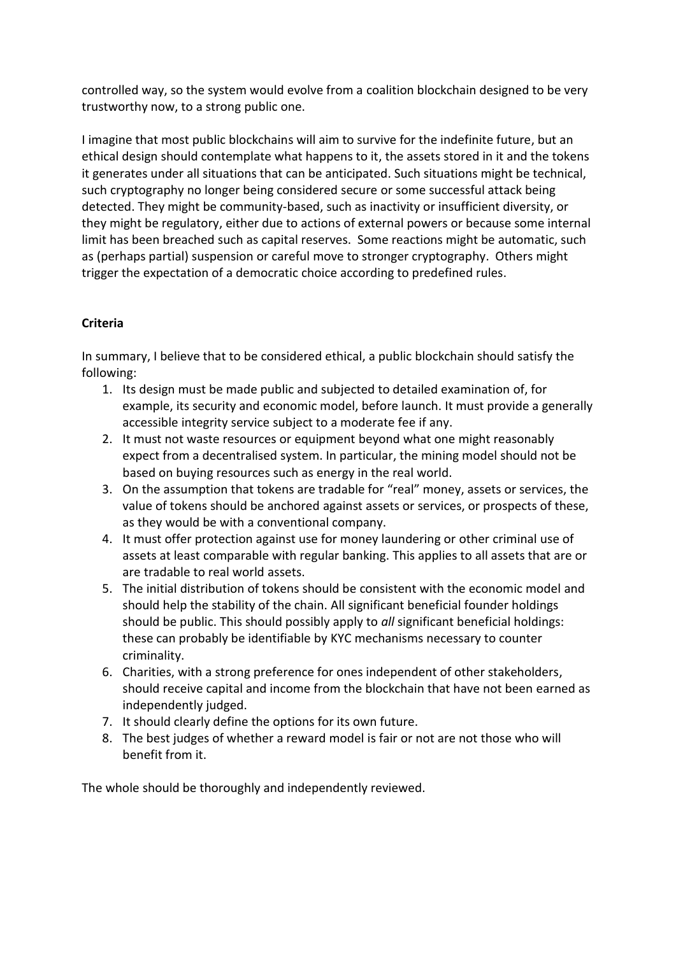controlled way, so the system would evolve from a coalition blockchain designed to be very trustworthy now, to a strong public one.

I imagine that most public blockchains will aim to survive for the indefinite future, but an ethical design should contemplate what happens to it, the assets stored in it and the tokens it generates under all situations that can be anticipated. Such situations might be technical, such cryptography no longer being considered secure or some successful attack being detected. They might be community-based, such as inactivity or insufficient diversity, or they might be regulatory, either due to actions of external powers or because some internal limit has been breached such as capital reserves. Some reactions might be automatic, such as (perhaps partial) suspension or careful move to stronger cryptography. Others might trigger the expectation of a democratic choice according to predefined rules.

# **Criteria**

In summary, I believe that to be considered ethical, a public blockchain should satisfy the following:

- 1. Its design must be made public and subjected to detailed examination of, for example, its security and economic model, before launch. It must provide a generally accessible integrity service subject to a moderate fee if any.
- 2. It must not waste resources or equipment beyond what one might reasonably expect from a decentralised system. In particular, the mining model should not be based on buying resources such as energy in the real world.
- 3. On the assumption that tokens are tradable for "real" money, assets or services, the value of tokens should be anchored against assets or services, or prospects of these, as they would be with a conventional company.
- 4. It must offer protection against use for money laundering or other criminal use of assets at least comparable with regular banking. This applies to all assets that are or are tradable to real world assets.
- 5. The initial distribution of tokens should be consistent with the economic model and should help the stability of the chain. All significant beneficial founder holdings should be public. This should possibly apply to *all* significant beneficial holdings: these can probably be identifiable by KYC mechanisms necessary to counter criminality.
- 6. Charities, with a strong preference for ones independent of other stakeholders, should receive capital and income from the blockchain that have not been earned as independently judged.
- 7. It should clearly define the options for its own future.
- 8. The best judges of whether a reward model is fair or not are not those who will benefit from it.

The whole should be thoroughly and independently reviewed.